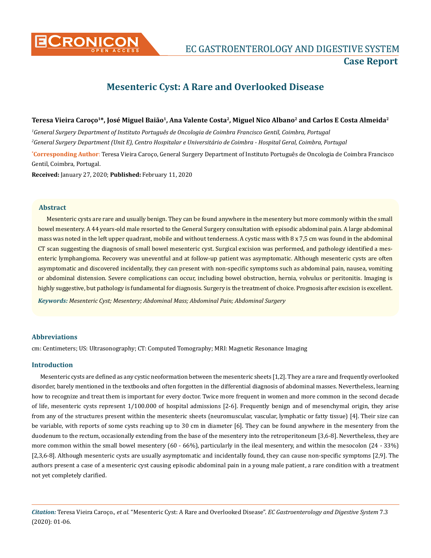

**CRONICON EC GASTROENTEROLOGY AND DIGESTIVE SYSTEM Case Report**

# **Mesenteric Cyst: A Rare and Overlooked Disease**

#### Teresa Vieira Caroço<sup>1\*</sup>, José Miguel Baião<sup>1</sup>, Ana Valente Costa<sup>2</sup>, Miguel Nico Albano<sup>2</sup> and Carlos E Costa Almeida<sup>2</sup>

*1 General Surgery Department of Instituto Português de Oncologia de Coimbra Francisco Gentil, Coimbra, Portugal 2 General Surgery Department (Unit E), Centro Hospitalar e Universitário de Coimbra - Hospital Geral, Coimbra, Portugal*

**\* Corresponding Author**: Teresa Vieira Caroço, General Surgery Department of Instituto Português de Oncologia de Coimbra Francisco Gentil, Coimbra, Portugal.

**Received:** January 27, 2020; **Published:** February 11, 2020

#### **Abstract**

Mesenteric cysts are rare and usually benign. They can be found anywhere in the mesentery but more commonly within the small bowel mesentery. A 44 years-old male resorted to the General Surgery consultation with episodic abdominal pain. A large abdominal mass was noted in the left upper quadrant, mobile and without tenderness. A cystic mass with 8 x 7,5 cm was found in the abdominal CT scan suggesting the diagnosis of small bowel mesenteric cyst. Surgical excision was performed, and pathology identified a mesenteric lymphangioma. Recovery was uneventful and at follow-up patient was asymptomatic. Although mesenteric cysts are often asymptomatic and discovered incidentally, they can present with non-specific symptoms such as abdominal pain, nausea, vomiting or abdominal distension. Severe complications can occur, including bowel obstruction, hernia, volvulus or peritonitis. Imaging is highly suggestive, but pathology is fundamental for diagnosis. Surgery is the treatment of choice. Prognosis after excision is excellent.

*Keywords: Mesenteric Cyst; Mesentery; Abdominal Mass; Abdominal Pain; Abdominal Surgery*

# **Abbreviations**

cm: Centimeters; US: Ultrasonography; CT: Computed Tomography; MRI: Magnetic Resonance Imaging

# **Introduction**

Mesenteric cysts are defined as any cystic neoformation between the mesenteric sheets [1,2]. They are a rare and frequently overlooked disorder, barely mentioned in the textbooks and often forgotten in the differential diagnosis of abdominal masses. Nevertheless, learning how to recognize and treat them is important for every doctor. Twice more frequent in women and more common in the second decade of life, mesenteric cysts represent 1/100.000 of hospital admissions [2-6]. Frequently benign and of mesenchymal origin, they arise from any of the structures present within the mesenteric sheets (neuromuscular, vascular, lymphatic or fatty tissue) [4]. Their size can be variable, with reports of some cysts reaching up to 30 cm in diameter [6]. They can be found anywhere in the mesentery from the duodenum to the rectum, occasionally extending from the base of the mesentery into the retroperitoneum [3,6-8]. Nevertheless, they are more common within the small bowel mesentery (60 - 66%), particularly in the ileal mesentery, and within the mesocolon (24 - 33%) [2,3,6-8]. Although mesenteric cysts are usually asymptomatic and incidentally found, they can cause non-specific symptoms [2,9]. The authors present a case of a mesenteric cyst causing episodic abdominal pain in a young male patient, a rare condition with a treatment not yet completely clarified.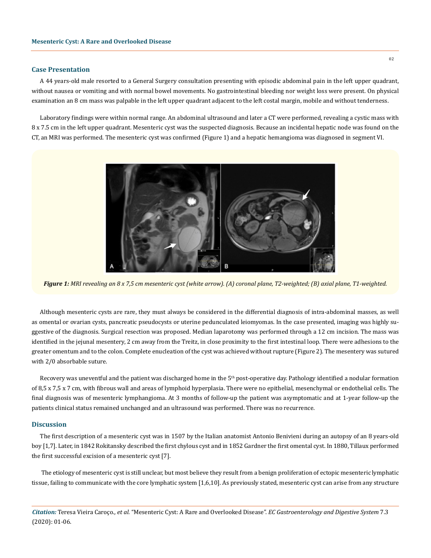#### **Case Presentation**

A 44 years-old male resorted to a General Surgery consultation presenting with episodic abdominal pain in the left upper quadrant, without nausea or vomiting and with normal bowel movements. No gastrointestinal bleeding nor weight loss were present. On physical examination an 8 cm mass was palpable in the left upper quadrant adjacent to the left costal margin, mobile and without tenderness.

Laboratory findings were within normal range. An abdominal ultrasound and later a CT were performed, revealing a cystic mass with 8 x 7.5 cm in the left upper quadrant. Mesenteric cyst was the suspected diagnosis. Because an incidental hepatic node was found on the CT, an MRI was performed. The mesenteric cyst was confirmed (Figure 1) and a hepatic hemangioma was diagnosed in segment VI.



*Figure 1: MRI revealing an 8 x 7,5 cm mesenteric cyst (white arrow). (A) coronal plane, T2-weighted; (B) axial plane, T1-weighted.*

Although mesenteric cysts are rare, they must always be considered in the differential diagnosis of intra-abdominal masses, as well as omental or ovarian cysts, pancreatic pseudocysts or uterine pedunculated leiomyomas. In the case presented, imaging was highly suggestive of the diagnosis. Surgical resection was proposed. Median laparotomy was performed through a 12 cm incision. The mass was identified in the jejunal mesentery, 2 cm away from the Treitz, in close proximity to the first intestinal loop. There were adhesions to the greater omentum and to the colon. Complete enucleation of the cyst was achieved without rupture (Figure 2). The mesentery was sutured with 2/0 absorbable suture.

Recovery was uneventful and the patient was discharged home in the 5<sup>th</sup> post-operative day. Pathology identified a nodular formation of 8,5 x 7,5 x 7 cm, with fibrous wall and areas of lymphoid hyperplasia. There were no epithelial, mesenchymal or endothelial cells. The final diagnosis was of mesenteric lymphangioma. At 3 months of follow-up the patient was asymptomatic and at 1-year follow-up the patients clinical status remained unchanged and an ultrasound was performed. There was no recurrence.

#### **Discussion**

The first description of a mesenteric cyst was in 1507 by the Italian anatomist Antonio Benivieni during an autopsy of an 8 years-old boy [1,7]. Later, in 1842 Rokitansky described the first chylous cyst and in 1852 Gardner the first omental cyst. In 1880, Tillaux performed the first successful excision of a mesenteric cyst [7].

 The etiology of mesenteric cyst is still unclear, but most believe they result from a benign proliferation of ectopic mesenteric lymphatic tissue, failing to communicate with the core lymphatic system [1,6,10]. As previously stated, mesenteric cyst can arise from any structure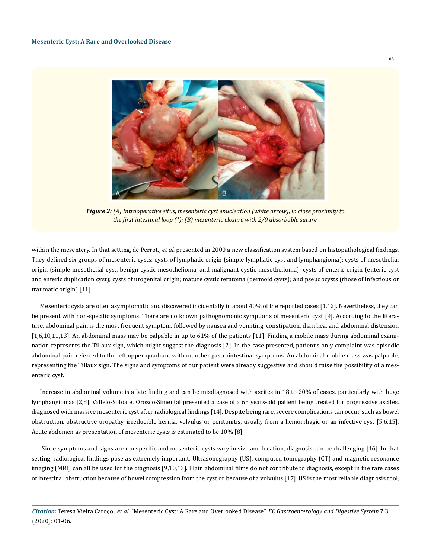

*Figure 2: (A) Intraoperative situs, mesenteric cyst enucleation (white arrow), in close proximity to the first intestinal loop (\*); (B) mesenteric closure with 2/0 absorbable suture.*

within the mesentery. In that setting, de Perrot., *et al.* presented in 2000 a new classification system based on histopathological findings. They defined six groups of mesenteric cysts: cysts of lymphatic origin (simple lymphatic cyst and lymphangioma); cysts of mesothelial origin (simple mesothelial cyst, benign cystic mesothelioma, and malignant cystic mesothelioma); cysts of enteric origin (enteric cyst and enteric duplication cyst); cysts of urogenital origin; mature cystic teratoma (dermoid cysts); and pseudocysts (those of infectious or traumatic origin) [11].

Mesenteric cysts are often asymptomatic and discovered incidentally in about 40% of the reported cases [1,12]. Nevertheless, they can be present with non-specific symptoms. There are no known pathognomonic symptoms of mesenteric cyst [9]. According to the literature, abdominal pain is the most frequent symptom, followed by nausea and vomiting, constipation, diarrhea, and abdominal distension [1,6,10,11,13]. An abdominal mass may be palpable in up to 61% of the patients [11]. Finding a mobile mass during abdominal examination represents the Tillaux sign, which might suggest the diagnosis [2]. In the case presented, patient's only complaint was episodic abdominal pain referred to the left upper quadrant without other gastrointestinal symptoms. An abdominal mobile mass was palpable, representing the Tillaux sign. The signs and symptoms of our patient were already suggestive and should raise the possibility of a mesenteric cyst.

Increase in abdominal volume is a late finding and can be misdiagnosed with ascites in 18 to 20% of cases, particularly with huge lymphangiomas [2,8]. Vallejo-Sotoa et Orozco-Simental presented a case of a 65 years-old patient being treated for progressive ascites, diagnosed with massive mesenteric cyst after radiological findings [14]. Despite being rare, severe complications can occur, such as bowel obstruction, obstructive uropathy, irreducible hernia, volvulus or peritonitis, usually from a hemorrhagic or an infective cyst [5,6,15]. Acute abdomen as presentation of mesenteric cysts is estimated to be 10% [8].

 Since symptoms and signs are nonspecific and mesenteric cysts vary in size and location, diagnosis can be challenging [16]. In that setting, radiological findings pose as extremely important. Ultrasonography (US), computed tomography (CT) and magnetic resonance imaging (MRI) can all be used for the diagnosis [9,10,13]. Plain abdominal films do not contribute to diagnosis, except in the rare cases of intestinal obstruction because of bowel compression from the cyst or because of a volvulus [17]. US is the most reliable diagnosis tool,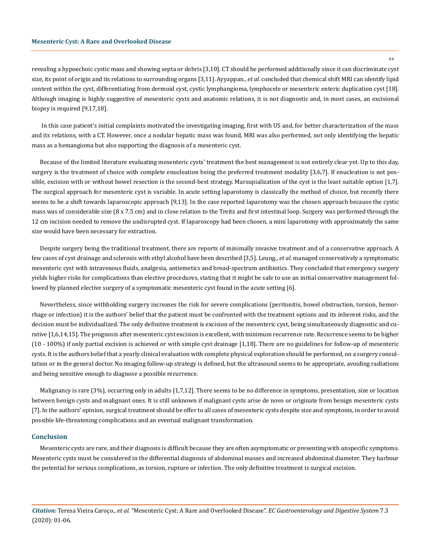04

revealing a hypoechoic cystic mass and showing septa or debris [3,10]. CT should be performed additionally since it can discriminate cyst size, its point of origin and its relations to surrounding organs [3,11]. Ayyappan., *et al.* concluded that chemical shift MRI can identify lipid content within the cyst, differentiating from dermoid cyst, cystic lymphangioma, lymphocele or mesenteric enteric duplication cyst [18]. Although imaging is highly suggestive of mesenteric cysts and anatomic relations, it is not diagnostic and, in most cases, an excisional biopsy is required [9,17,18].

 In this case patient's initial complaints motivated the investigating imaging, first with US and, for better characterization of the mass and its relations, with a CT. However, once a nodular hepatic mass was found, MRI was also performed, not only identifying the hepatic mass as a hemangioma but also supporting the diagnosis of a mesenteric cyst.

Because of the limited literature evaluating mesenteric cysts' treatment the best management is not entirely clear yet. Up to this day, surgery is the treatment of choice with complete enucleation being the preferred treatment modality [3,6,7]. If enucleation is not possible, excision with or without bowel resection is the second-best strategy. Marsupialization of the cyst is the least suitable option [1,7]. The surgical approach for mesenteric cyst is variable. In acute setting laparotomy is classically the method of choice, but recently there seems to be a shift towards laparoscopic approach [9,13]. In the case reported laparotomy was the chosen approach because the cystic mass was of considerable size (8 x 7.5 cm) and in close relation to the Treitz and first intestinal loop. Surgery was performed through the 12 cm incision needed to remove the undisrupted cyst. If laparoscopy had been chosen, a mini laparotomy with approximately the same size would have been necessary for extraction.

Despite surgery being the traditional treatment, there are reports of minimally invasive treatment and of a conservative approach. A few cases of cyst drainage and sclerosis with ethyl alcohol have been described [3,5]. Leung., *et al.* managed conservatively a symptomatic mesenteric cyst with intravenous fluids, analgesia, antiemetics and broad-spectrum antibiotics. They concluded that emergency surgery yields higher risks for complications than elective procedures, stating that it might be safe to use an initial conservative management followed by planned elective surgery of a symptomatic mesenteric cyst found in the acute setting [6].

Nevertheless, since withholding surgery increases the risk for severe complications (peritonitis, bowel obstruction, torsion, hemorrhage or infection) it is the authors' belief that the patient must be confronted with the treatment options and its inherent risks, and the decision must be individualized. The only definitive treatment is excision of the mesenteric cyst, being simultaneously diagnostic and curative [1,6,14,15]. The prognosis after mesenteric cyst excision is excellent, with minimum recurrence rate. Recurrence seems to be higher (10 - 100%) if only partial excision is achieved or with simple cyst drainage [1,18]. There are no guidelines for follow-up of mesenteric cysts. It is the authors belief that a yearly clinical evaluation with complete physical exploration should be performed, on a surgery consultation or in the general doctor. No imaging follow-up strategy is defined, but the ultrasound seems to be appropriate, avoiding radiations and being sensitive enough to diagnose a possible recurrence.

Malignancy is rare (3%), occurring only in adults [1,7,12]. There seems to be no difference in symptoms, presentation, size or location between benign cysts and malignant ones. It is still unknown if malignant cysts arise de novo or originate from benign mesenteric cysts [7]. In the authors' opinion, surgical treatment should be offer to all cases of mesenteric cysts despite size and symptoms, in order to avoid possible life-threatening complications and an eventual malignant transformation.

#### **Conclusion**

Mesenteric cysts are rare, and their diagnosis is difficult because they are often asymptomatic or presenting with unspecific symptoms. Mesenteric cysts must be considered in the differential diagnosis of abdominal masses and increased abdominal diameter. They harbour the potential for serious complications, as torsion, rupture or infection. The only definitive treatment is surgical excision.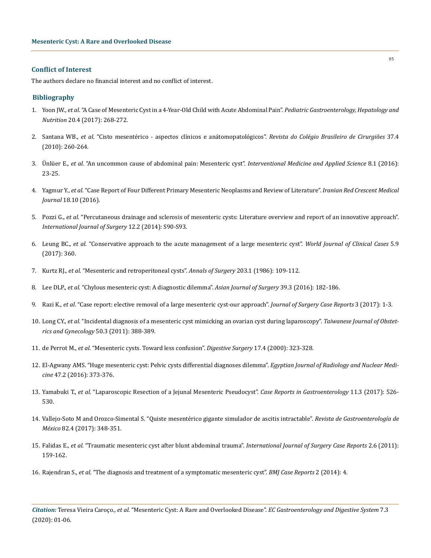#### **Conflict of Interest**

The authors declare no financial interest and no conflict of interest.

### **Bibliography**

- 1. Yoon JW., *et al*[. "A Case of Mesenteric Cyst in a 4-Year-Old Child with Acute Abdominal Pain".](https://www.ncbi.nlm.nih.gov/pmc/articles/PMC5750383/) *Pediatric Gastroenterology, Hepatology and Nutrition* [20.4 \(2017\): 268-272.](https://www.ncbi.nlm.nih.gov/pmc/articles/PMC5750383/)
- 2. Santana WB., *et al*[. "Cisto mesentérico aspectos clínicos e anátomopatológicos".](http://www.scielo.br/scielo.php?script=sci_arttext&pid=S0100-69912010000400004) *Revista do Colégio Brasileiro de Cirurgiões* 37.4 [\(2010\): 260-264.](http://www.scielo.br/scielo.php?script=sci_arttext&pid=S0100-69912010000400004)
- 3. Ünlüer E., *et al*[. "An uncommon cause of abdominal pain: Mesenteric cyst".](https://www.ncbi.nlm.nih.gov/pmc/articles/PMC5322489/) *Interventional Medicine and Applied Science* 8.1 (2016): [23-25.](https://www.ncbi.nlm.nih.gov/pmc/articles/PMC5322489/)
- 4. Yagmur Y., *et al*[. "Case Report of Four Different Primary Mesenteric Neoplasms and Review of Literature".](https://www.ncbi.nlm.nih.gov/pmc/articles/PMC5286558/) *Iranian Red Crescent Medical Journal* [18.10 \(2016\).](https://www.ncbi.nlm.nih.gov/pmc/articles/PMC5286558/)
- 5. Pozzi G., *et al*[. "Percutaneous drainage and sclerosis of mesenteric cysts: Literature overview and report of an innovative approach".](https://www.ncbi.nlm.nih.gov/pubmed/25183644) *[International Journal of Surgery](https://www.ncbi.nlm.nih.gov/pubmed/25183644)* 12.2 (2014): S90-S93.
- 6. Leung BC., *et al*[. "Conservative approach to the acute management of a large mesenteric cyst".](https://www.ncbi.nlm.nih.gov/pmc/articles/PMC5618114/) *World Journal of Clinical Cases* 5.9 [\(2017\): 360.](https://www.ncbi.nlm.nih.gov/pmc/articles/PMC5618114/)
- 7. Kurtz RJ., *et al*[. "Mesenteric and retroperitoneal cysts".](https://www.ncbi.nlm.nih.gov/pmc/articles/PMC1251046/) *Annals of Surgery* 203.1 (1986): 109-112.
- 8. Lee DLP., *et al*[. "Chylous mesenteric cyst: A diagnostic dilemma".](https://www.sciencedirect.com/science/article/pii/S1015958413000389) *Asian Journal of Surgery* 39.3 (2016): 182-186.
- 9. Razi K., *et al*[. "Case report: elective removal of a large mesenteric cyst-our approach".](https://www.ncbi.nlm.nih.gov/pmc/articles/PMC5400466/) *Journal of Surgery Case Reports* 3 (2017): 1-3.
- 10. Long CY., *et al*[. "Incidental diagnosis of a mesenteric cyst mimicking an ovarian cyst during laparoscopy".](https://www.ncbi.nlm.nih.gov/pubmed/22030062) *Taiwanese Journal of Obstet[rics and Gynecology](https://www.ncbi.nlm.nih.gov/pubmed/22030062)* 50.3 (2011): 388-389.
- 11. de Perrot M., *et al*[. "Mesenteric cysts. Toward less confusion".](https://www.ncbi.nlm.nih.gov/pubmed/11053936) *Digestive Surgery* 17.4 (2000): 323-328.
- 12. [El-Agwany AMS. "Huge mesenteric cyst: Pelvic cysts differential diagnoses dilemma".](https://www.sciencedirect.com/science/article/pii/S0378603X16000097) *Egyptian Journal of Radiology and Nuclear Medicine* [47.2 \(2016\): 373-376.](https://www.sciencedirect.com/science/article/pii/S0378603X16000097)
- 13. Yamabuki T., *et al*[. "Laparoscopic Resection of a Jejunal Mesenteric Pseudocyst".](https://www.karger.com/Article/Fulltext/479313) *Case Reports in Gastroenterology* 11.3 (2017): 526- [530.](https://www.karger.com/Article/Fulltext/479313)
- 14. [Vallejo-Soto M and Orozco-Simental S. "Quiste mesentérico gigante simulador de ascitis intractable".](http://www.revistagastroenterologiamexico.org/es-quiste-mesenterico-gigante-simulador-ascitis-articulo-S0375090617300022) *Revista de Gastroenterología de México* [82.4 \(2017\): 348-351.](http://www.revistagastroenterologiamexico.org/es-quiste-mesenterico-gigante-simulador-ascitis-articulo-S0375090617300022)
- 15. Falidas E., *et al*[. "Traumatic mesenteric cyst after blunt abdominal trauma".](https://www.ncbi.nlm.nih.gov/pmc/articles/PMC3199619/) *International Journal of Surgery Case Reports* 2.6 (2011): [159-162.](https://www.ncbi.nlm.nih.gov/pmc/articles/PMC3199619/)
- 16. Rajendran S., *et al*[. "The diagnosis and treatment of a symptomatic mesenteric cyst".](https://casereports.bmj.com/content/2014/bcr-2013-202410) *BMJ Case Reports* 2 (2014): 4.